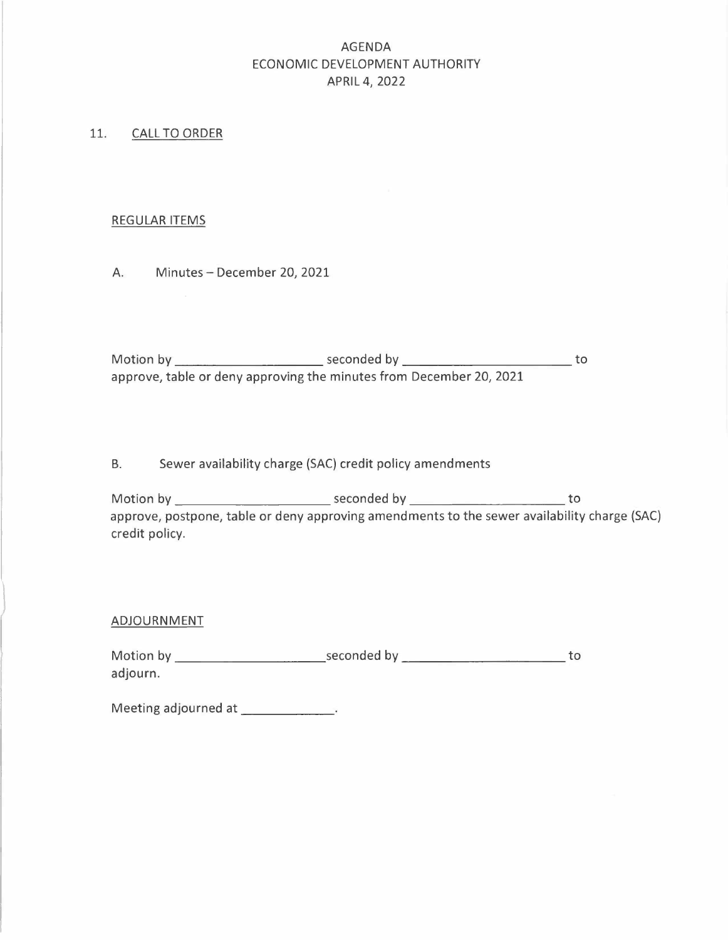## AGENDA ECONOMIC DEVELOPMENT AUTHORITY APRIL 4, 2022

### 11. CALL TO ORDER

### REGULAR ITEMS

A. Minutes - December 20, 2021

approve, table or deny approving the minutes from December 20, 2021

B. Sewer availability charge (SAC) credit policy amendments

Motion by Seconded V .[O Motion by seconded by to approve, postpone, table or deny approving amendments to the sewer availability charge (SAC) credit policy. Motion by Seconded by to

#### ADJOURNMENT

adjourn.

Meeting adjourned at \_\_\_\_\_\_\_\_\_\_\_\_.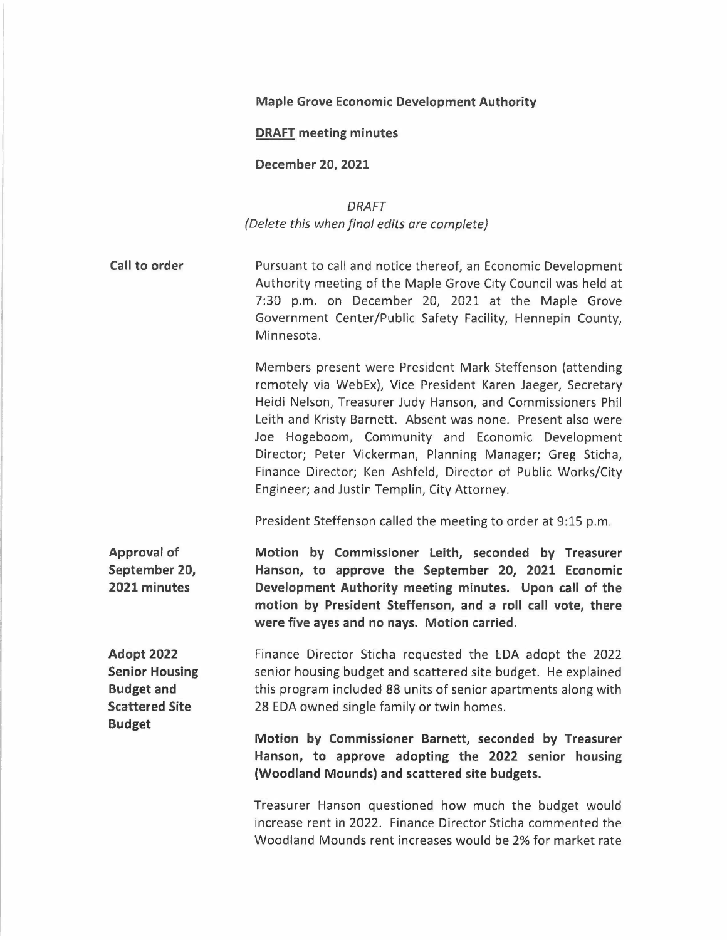### **Maple Grove Economic Development Authority**

### **DRAFT meeting minutes**

### **December 20, 2021**

*DRAFT (Delete this when final edits are complete)* 

**Call to order**  Pursuant to call and notice thereof, an Economic Development Authority meeting of the Maple Grove City Council was held at 7:30 p.m. on December 20, 2021 at the Maple Grove Government Center/Public Safety Facility, Hennepin County, Minnesota.

> Members present were President Mark Steffenson (attending remotely via WebEx), Vice President Karen Jaeger, Secretary Heidi Nelson, Treasurer Judy Hanson, and Commissioners Phil Leith and Kristy Barnett. Absent was none. Present also were Joe Hogeboom, Community and Economic Development Director; Peter Vickerman, Planning Manager; Greg Sticha, Finance Director; Ken Ashfeld, Director of Public Works/City Engineer; and Justin Templin, City Attorney.

President Steffenson called the meeting to order at 9:15 p.m.

**Approval of September 20, 2021 minutes Motion by Commissioner Leith, seconded by Treasurer Hanson, to approve the September 20, 2021 Economic Development Authority meeting minutes. Upon call of the motion by President Steffenson, and a roll call vote, there were five ayes and no nays. Motion carried.** 

**Adopt 2022 Senior Housing Budget and Scattered Site Budget** 

Finance Director Sticha requested the EDA adopt the 2022 senior housing budget and scattered site budget. He explained this program included 88 units of senior apartments along with 28 EDA owned single family or twin homes.

**Motion by Commissioner Barnett, seconded by Treasurer Hanson, to approve adopting the 2022 senior housing (Woodland Mounds) and scattered site budgets.** 

Treasurer Hanson questioned how much the budget would increase rent in 2022. Finance Director Sticha commented the Woodland Mounds rent increases would be 2% for market rate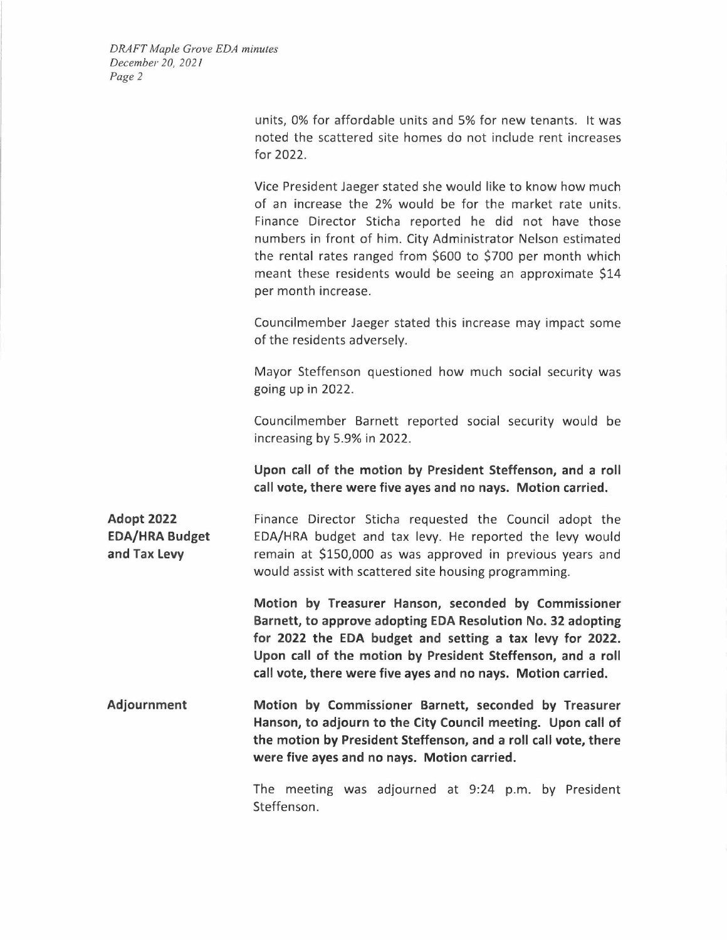units, 0% for affordable units and 5% for new tenants. It was noted the scattered site homes do not include rent increases for 2022.

Vice President Jaeger stated she would like to know how much of an increase the 2% would be for the market rate units. Finance Director Sticha reported he did not have those numbers in front of him. City Administrator Nelson estimated the rental rates ranged from \$600 to \$700 per month which meant these residents would be seeing an approximate \$14 per month increase.

Councilmember Jaeger stated this increase may impact some of the residents adversely.

Mayor Steffenson questioned how much social security was going up in 2022.

Councilmember Barnett reported social security would be increasing by 5.9% in 2022.

**Upon call of the motion by President Steffenson, and a roll call vote, there were five ayes and no nays. Motion carried.** 

**Adopt 2022 EDA/HRA Budget and Tax Levy**  Finance Director Sticha requested the Council adopt the EDA/HRA budget and tax levy. He reported the levy would remain at \$150,000 as was approved in previous years and would assist with scattered site housing programming.

> **Motion by Treasurer Hanson, seconded by Commissioner Barnett, to approve adopting EDA Resolution No. 32 adopting for 2022 the EDA budget and setting a tax levy for 2022. Upon call of the motion by President Steffenson, and a roll call vote, there were five ayes and no nays. Motion carried.**

**Adjournment Motion by Commissioner Barnett, seconded by Treasurer Hanson, to adjourn to the City Council meeting. Upon call of the motion by President Steffenson, and a roll call vote, there were five ayes and no nays. Motion carried.** 

> The meeting was adjourned at 9:24 p.m. by President Steffenson.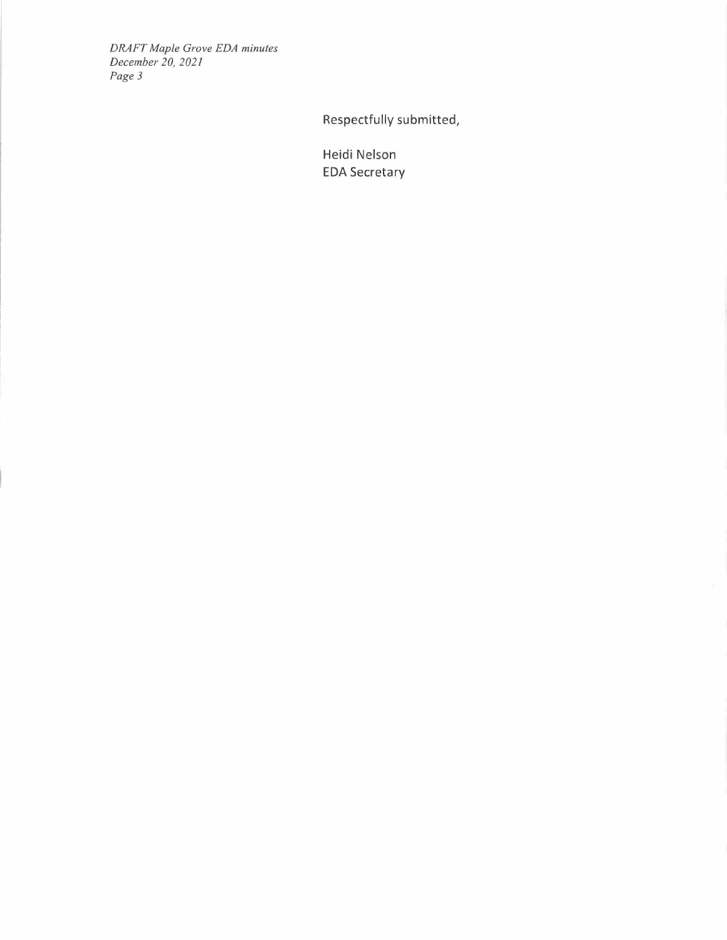*DRAFT Maple Grove EDA minutes December 20, 2021 Page3* 

**Respectfully submitted,** 

**Heidi Nelson EDA Secretary**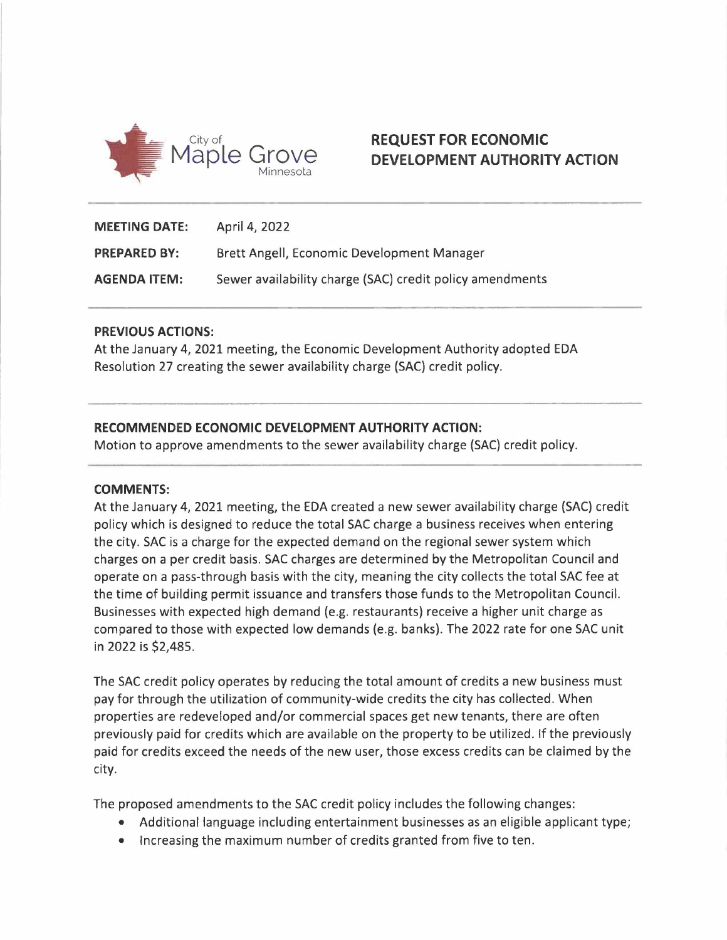

## **REQUEST FOR ECONOMIC DEVELOPMENT AUTHORITY ACTION**

| <b>MEETING DATE:</b> | April 4, 2022                                            |
|----------------------|----------------------------------------------------------|
| <b>PREPARED BY:</b>  | Brett Angell, Economic Development Manager               |
| <b>AGENDA ITEM:</b>  | Sewer availability charge (SAC) credit policy amendments |

### **PREVIOUS ACTIONS:**

At the January 4, 2021 meeting, the Economic Development Authority adopted EDA Resolution 27 creating the sewer availability charge (SAC) credit policy.

### **RECOMMENDED ECONOMIC DEVELOPMENT AUTHORITY ACTION:**

Motion to approve amendments to the sewer availability charge (SAC) credit policy.

### **COMMENTS:**

At the January 4, 2021 meeting, the EDA created a new sewer availability charge (SAC) credit policy which is designed to reduce the total SAC charge a business receives when entering the city. SAC is a charge for the expected demand on the regional sewer system which charges on a per credit basis. SAC charges are determined by the Metropolitan Council and operate on a pass-through basis with the city, meaning the city collects the total SAC fee at the time of building permit issuance and transfers those funds to the Metropolitan Council. Businesses with expected high demand (e.g. restaurants) receive a higher unit charge as compared to those with expected low demands (e.g. banks). The 2022 rate for one SAC unit in 2022 is \$2,485.

The SAC credit policy operates by reducing the total amount of credits a new business must pay for through the utilization of community-wide credits the city has collected. When properties are redeveloped and/or commercial spaces get new tenants, there are often previously paid for credits which are available on the property to be utilized. If the previously paid for credits exceed the needs of the new user, those excess credits can be claimed by the city.

The proposed amendments to the SAC credit policy includes the following changes:

- Additional language including entertainment businesses as an eligible applicant type;
- Increasing the maximum number of credits granted from five to ten.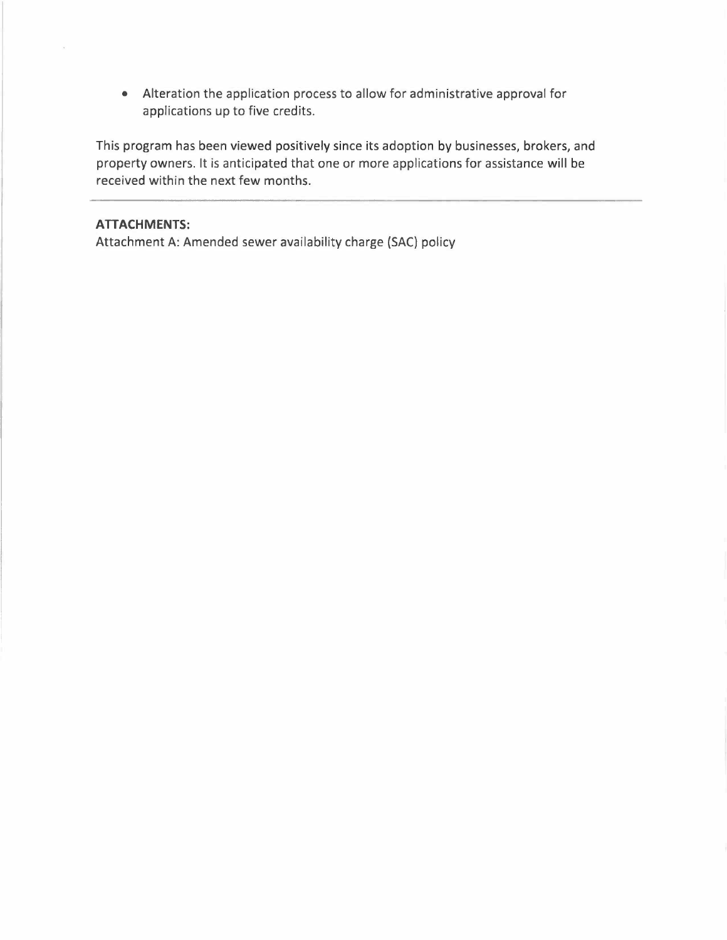• Alteration the application process to allow for administrative approval for applications up to five credits.

This program has been viewed positively since its adoption by businesses, brokers, and property owners. It is anticipated that one or more applications for assistance will be received within the next few months.

### **ATTACHMENTS:**

Attachment A: Amended sewer availability charge {SAC} policy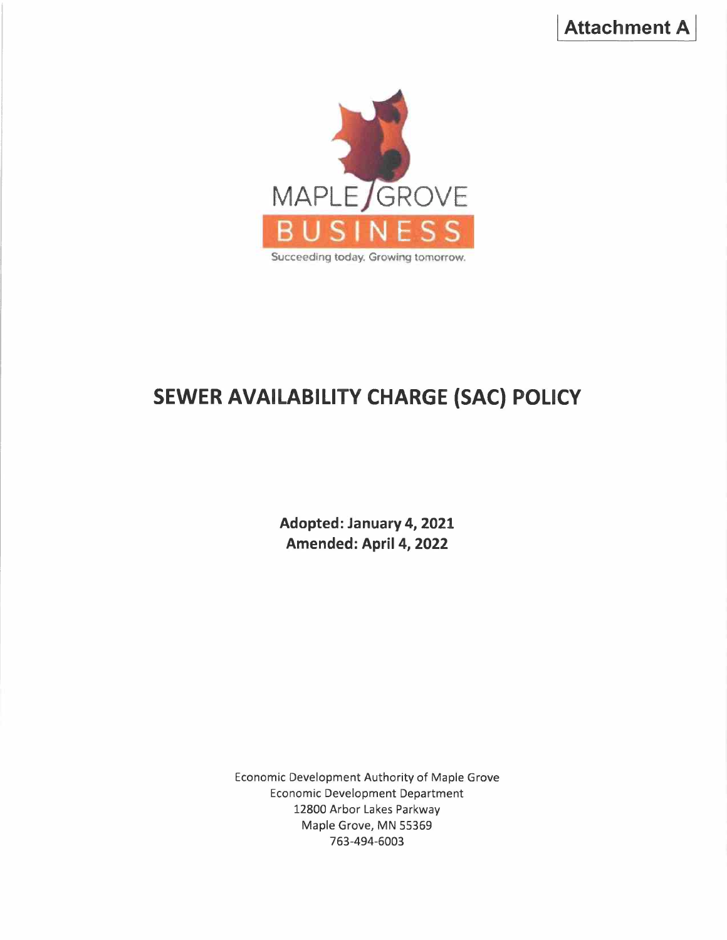

# **SEWER AVAILABILITY CHARGE (SAC) POLICY**

**Adopted: January 4, 2021 Amended: April 4, 2022** 

Economic Development Authority of Maple Grove Economic Development Department 12800 Arbor Lakes Parkway Maple Grove, MN 55369 763-494-6003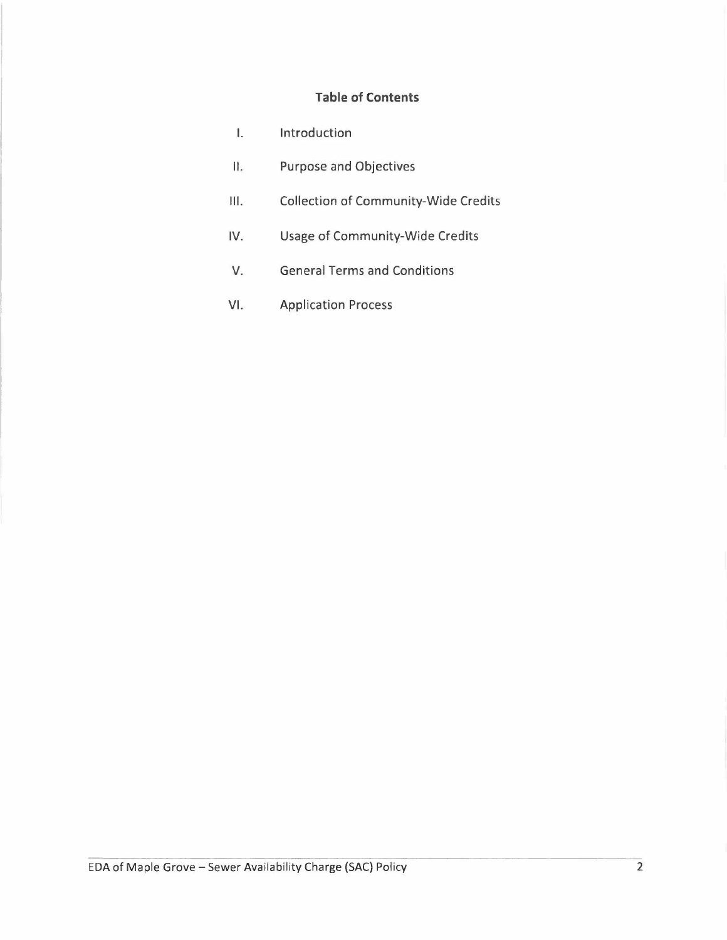## **Table of Contents**

| Ι.   | Introduction                                |
|------|---------------------------------------------|
| П.   | <b>Purpose and Objectives</b>               |
| III. | <b>Collection of Community-Wide Credits</b> |
| IV.  | <b>Usage of Community-Wide Credits</b>      |
| V.   | <b>General Terms and Conditions</b>         |
| VI.  | <b>Application Process</b>                  |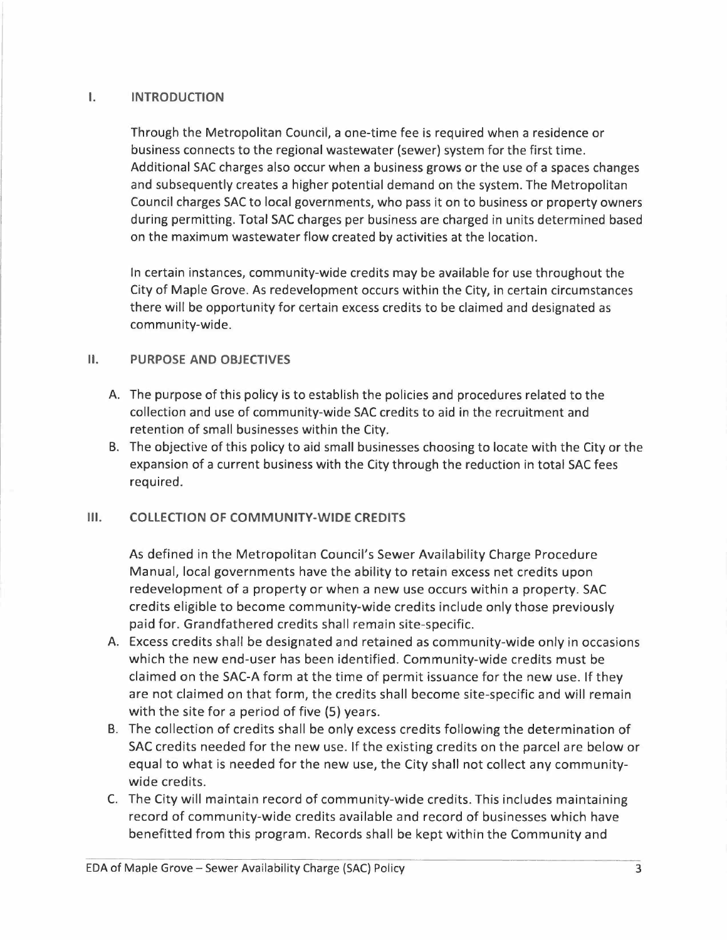### I. **INTRODUCTION**

Through the Metropolitan Council, a one-time fee is required when a residence or business connects to the regional wastewater (sewer) system for the first time. Additional SAC charges also occur when a business grows or the use of a spaces changes and subsequently creates a higher potential demand on the system. The Metropolitan Council charges SAC to local governments, who pass it on to business or property owners during permitting. Total SAC charges per business are charged in units determined based on the maximum wastewater flow created by activities at the location.

In certain instances, community-wide credits may be available for use throughout the City of Maple Grove. As redevelopment occurs within the City, in certain circumstances there will be opportunity for certain excess credits to be claimed and designated as community-wide.

### II. **PURPOSE AND OBJECTIVES**

- A. The purpose of this policy is to establish the policies and procedures related to the collection and use of community-wide SAC credits to aid in the recruitment and retention of small businesses within the City.
- B. The objective of this policy to aid small businesses choosing to locate with the City or the expansion of a current business with the City through the reduction in total SAC fees required.

## **Ill. COLLECTION OF COMMUNITY-WIDE CREDITS**

As defined in the Metropolitan Council's Sewer Availability Charge Procedure Manual, local governments have the ability to retain excess net credits upon redevelopment of a property or when a new use occurs within a property. SAC credits eligible to become community-wide credits include only those previously paid for. Grandfathered credits shall remain site-specific.

- A. Excess credits shall be designated and retained as community-wide only in occasions which the new end-user has been identified. Community-wide credits must be claimed on the SAC-A form at the time of permit issuance for the new use. If they are not claimed on that form, the credits shall become site-specific and will remain with the site for a period of five (S) years.
- B. The collection of credits shall be only excess credits following the determination of SAC credits needed for the new use. If the existing credits on the parcel are below or equal to what is needed for the new use, the City shall not collect any communitywide credits.
- C. The City will maintain record of community-wide credits. This includes maintaining record of community-wide credits available and record of businesses which have benefitted from this program. Records shall be kept within the Community and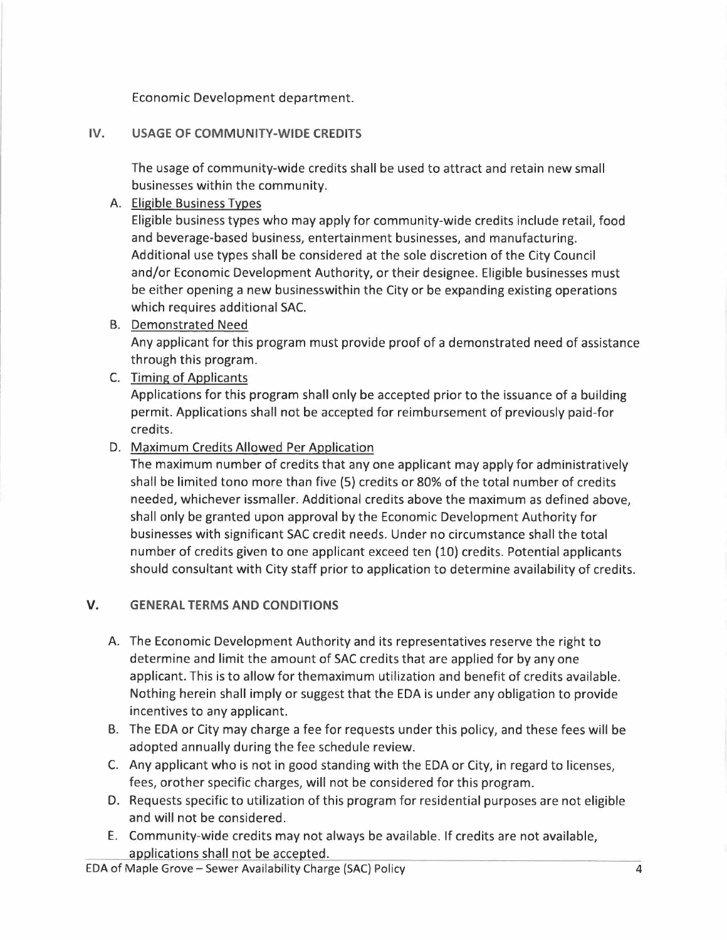Economic Development department.

## **IV. USAGE OF COMMUNITY-WIDE CREDITS**

The usage of community-wide credits shall be used to attract and retain new small businesses within the community.

## A. Eligible Business Types

Eligible business types who may apply for community-wide credits include retail, food and beverage-based business, entertainment businesses, and manufacturing. Additional use types shall be considered at the sole discretion of the City Council and/or Economic Development Authority, or their designee. Eligible businesses must be either opening a new businesswithin the City or be expanding existing operations which requires additional SAC.

B. Demonstrated Need Any applicant for this program must provide proof of a demonstrated need of assistance through this program.

## C. Timing of Applicants

Applications for this program shall only be accepted prior to the issuance of a building permit. Applications shall not be accepted for reimbursement of previously paid-for credits.

## D. Maximum Credits Allowed Per Application

The maximum number of credits that any one applicant may apply for administratively shall be limited tono more than five (5) credits or 80% of the total number of credits needed, whichever issmaller. Additional credits above the maximum as defined above, shall only be granted upon approval by the Economic Development Authority for businesses with significant SAC credit needs. Under no circumstance shall the total number of credits given to one applicant exceed ten (10) credits. Potential applicants should consultant with City staff prior to application to determine availability of credits.

## **V. GENERAL TERMS AND CONDITIONS**

- A. The Economic Development Authority and its representatives reserve the right to determine and limit the amount of SAC credits that are applied for by any one applicant. This is to allow for themaximum utilization and benefit of credits available. Nothing herein shall imply or suggest that the EDA is under any obligation to provide incentives to any applicant.
- B. The EDA or City may charge a fee for requests under this policy, and these fees will be adopted annually during the fee schedule review.
- C. Any applicant who is not in good standing with the EDA or City, in regard to licenses, fees, orother specific charges, will not be considered for this program.
- D. Requests specific to utilization of this program for residential purposes are not eligible and will not be considered.
- E. Community-wide credits may not always be available. If credits are not available, applications shall not be accepted.

EDA of Maple Grove- Sewer Availability Charge (SAC) Policy 4